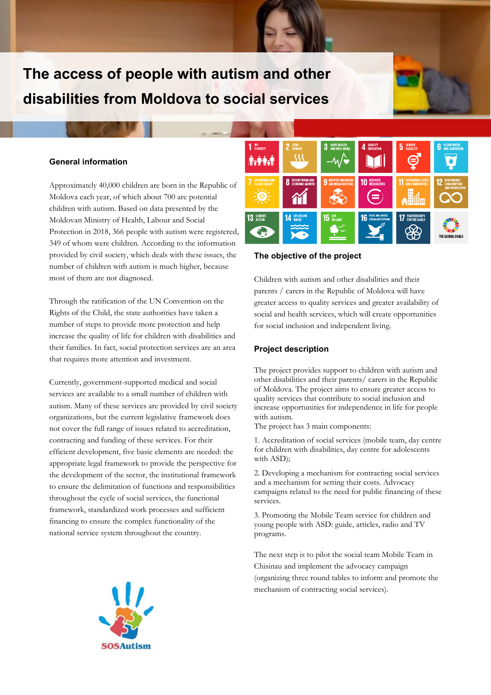# **The access of people with autism and other disabilities from Moldova to social services**

### **General information**

Approximately 40,000 children are born in the Republic of Moldova each year, of which about 700 are potential children with autism. Based on data presented by the Moldovan Ministry of Health, Labour and Social Protection in 2018, 366 people with autism were registered, 349 of whom were children. According to the information provided by civil society, which deals with these issues, the number of children with autism is much higher, because most of them are not diagnosed.

Through the ratification of the UN Convention on the Rights of the Child, the state authorities have taken a number of steps to provide more protection and help increase the quality of life for children with disabilities and their families. In fact, social protection services are an area that requires more attention and investment.

Currently, government-supported medical and social services are available to a small number of children with autism. Many of these services are provided by civil society organizations, but the current legislative framework does not cover the full range of issues related to accreditation, contracting and funding of these services. For their efficient development, five basic elements are needed: the appropriate legal framework to provide the perspective for the development of the sector, the institutional framework to ensure the delimitation of functions and responsibilities throughout the cycle of social services, the functional framework, standardized work processes and sufficient financing to ensure the complex functionality of the national service system throughout the country.



#### **The objective of the project**

Children with autism and other disabilities and their parents / carers in the Republic of Moldova will have greater access to quality services and greater availability of social and health services, which will create opportunities for social inclusion and independent living.

#### **Project description**

The project provides support to children with autism and other disabilities and their parents/ carers in the Republic of Moldova. The project aims to ensure greater access to quality services that contribute to social inclusion and increase opportunities for independence in life for people with autism.

The project has 3 main components:

1. Accreditation of social services (mobile team, day centre for children with disabilities, day centre for adolescents with ASD);

2. Developing a mechanism for contracting social services and a mechanism for setting their costs. Advocacy campaigns related to the need for public financing of these services.

3. Promoting the Mobile Team service for children and young people with ASD: guide, articles, radio and TV programs.

The next step is to pilot the social team Mobile Team in Chisinau and implement the advocacy campaign (organizing three round tables to inform and promote the mechanism of contracting social services).